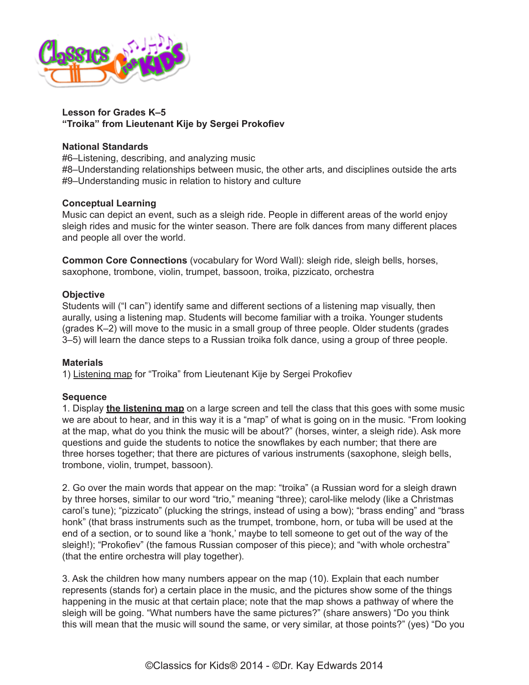

#### **Lesson for Grades K–5 "Troika" from Lieutenant Kije by Sergei Prokofiev**

#### **National Standards**

#6–Listening, describing, and analyzing music

#8–Understanding relationships between music, the other arts, and disciplines outside the arts #9–Understanding music in relation to history and culture

#### **Conceptual Learning**

Music can depict an event, such as a sleigh ride. People in different areas of the world enjoy sleigh rides and music for the winter season. There are folk dances from many different places and people all over the world.

**Common Core Connections** (vocabulary for Word Wall): sleigh ride, sleigh bells, horses, saxophone, trombone, violin, trumpet, bassoon, troika, pizzicato, orchestra

#### **Objective**

Students will ("I can") identify same and different sections of a listening map visually, then aurally, using a listening map. Students will become familiar with a troika. Younger students (grades K–2) will move to the music in a small group of three people. Older students (grades 3–5) will learn the dance steps to a Russian troika folk dance, using a group of three people.

### **Materials**

1) [Listening map](http://www.classicsforkids.com/downloads/prokofiev/Troika_Listening_Map.pdf) for "Troika" from Lieutenant Kije by Sergei Prokofiev

#### **Sequence**

1. Display **[the listening map](http://www.classicsforkids.com/downloads/prokofiev/Troika_Listening_Map.pdf)** on a large screen and tell the class that this goes with some music we are about to hear, and in this way it is a "map" of what is going on in the music. "From looking at the map, what do you think the music will be about?" (horses, winter, a sleigh ride). Ask more questions and guide the students to notice the snowflakes by each number; that there are three horses together; that there are pictures of various instruments (saxophone, sleigh bells, trombone, violin, trumpet, bassoon).

2. Go over the main words that appear on the map: "troika" (a Russian word for a sleigh drawn by three horses, similar to our word "trio," meaning "three); carol-like melody (like a Christmas carol's tune); "pizzicato" (plucking the strings, instead of using a bow); "brass ending" and "brass honk" (that brass instruments such as the trumpet, trombone, horn, or tuba will be used at the end of a section, or to sound like a 'honk,' maybe to tell someone to get out of the way of the sleigh!); "Prokofiev" (the famous Russian composer of this piece); and "with whole orchestra" (that the entire orchestra will play together).

3. Ask the children how many numbers appear on the map (10). Explain that each number represents (stands for) a certain place in the music, and the pictures show some of the things happening in the music at that certain place; note that the map shows a pathway of where the sleigh will be going. "What numbers have the same pictures?" (share answers) "Do you think this will mean that the music will sound the same, or very similar, at those points?" (yes) "Do you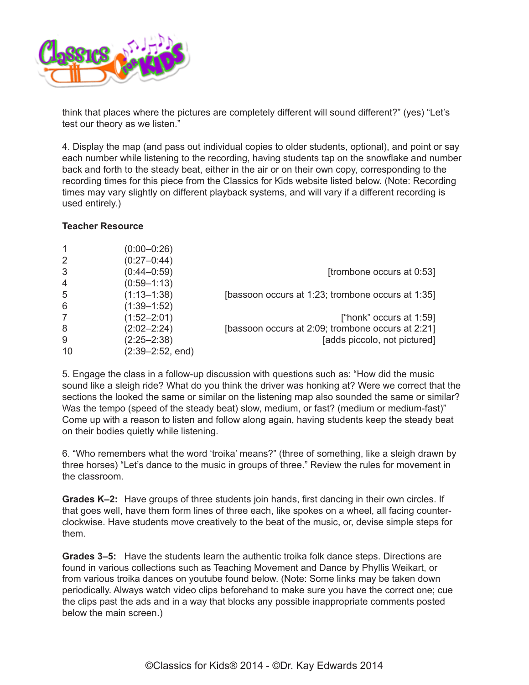

think that places where the pictures are completely different will sound different?" (yes) "Let's test our theory as we listen."

4. Display the map (and pass out individual copies to older students, optional), and point or say each number while listening to the recording, having students tap on the snowflake and number back and forth to the steady beat, either in the air or on their own copy, corresponding to the recording times for this piece from the Classics for Kids website listed below. (Note: Recording times may vary slightly on different playback systems, and will vary if a different recording is used entirely.)

#### **Teacher Resource**

| 1              | $(0:00 - 0:26)$      |                                                   |
|----------------|----------------------|---------------------------------------------------|
| 2              | $(0:27 - 0:44)$      |                                                   |
| 3              | $(0:44 - 0:59)$      | [trombone occurs at 0:53]                         |
| $\overline{4}$ | $(0:59 - 1:13)$      |                                                   |
| 5              | $(1:13 - 1:38)$      | [bassoon occurs at 1:23; trombone occurs at 1:35] |
| 6              | $(1:39 - 1:52)$      |                                                   |
| 7              | $(1:52 - 2:01)$      | ["honk" occurs at 1:59]                           |
| 8              | $(2:02 - 2:24)$      | [bassoon occurs at 2:09; trombone occurs at 2:21] |
| 9              | $(2:25 - 2:38)$      | [adds piccolo, not pictured]                      |
| 10             | $(2:39 - 2:52, end)$ |                                                   |

5. Engage the class in a follow-up discussion with questions such as: "How did the music sound like a sleigh ride? What do you think the driver was honking at? Were we correct that the sections the looked the same or similar on the listening map also sounded the same or similar? Was the tempo (speed of the steady beat) slow, medium, or fast? (medium or medium-fast)" Come up with a reason to listen and follow along again, having students keep the steady beat on their bodies quietly while listening.

6. "Who remembers what the word 'troika' means?" (three of something, like a sleigh drawn by three horses) "Let's dance to the music in groups of three." Review the rules for movement in the classroom.

**Grades K–2:** Have groups of three students join hands, first dancing in their own circles. If that goes well, have them form lines of three each, like spokes on a wheel, all facing counterclockwise. Have students move creatively to the beat of the music, or, devise simple steps for them.

**Grades 3–5:** Have the students learn the authentic troika folk dance steps. Directions are found in various collections such as Teaching Movement and Dance by Phyllis Weikart, or from various troika dances on youtube found below. (Note: Some links may be taken down periodically. Always watch video clips beforehand to make sure you have the correct one; cue the clips past the ads and in a way that blocks any possible inappropriate comments posted below the main screen.)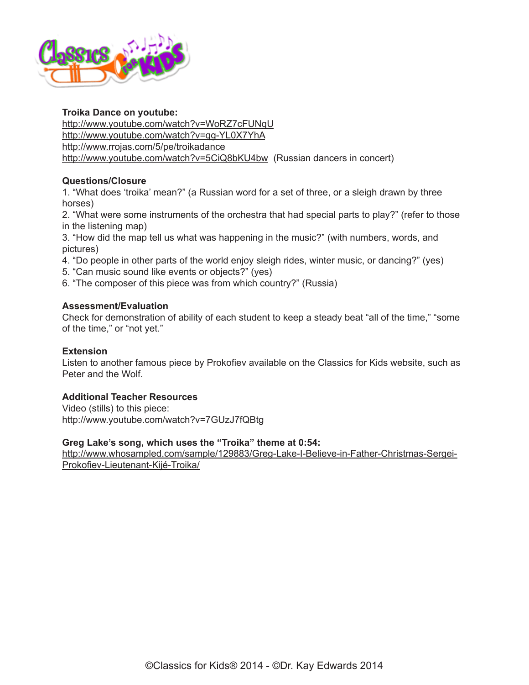

### **Troika Dance on youtube:**

<http://www.youtube.com/watch?v=WoRZ7cFUNqU> <http://www.youtube.com/watch?v=qg-YL0X7YhA> <http://www.rrojas.com/5/pe/troikadance> <http://www.youtube.com/watch?v=5CiQ8bKU4bw> (Russian dancers in concert)

# **Questions/Closure**

1. "What does 'troika' mean?" (a Russian word for a set of three, or a sleigh drawn by three horses)

2. "What were some instruments of the orchestra that had special parts to play?" (refer to those in the listening map)

3. "How did the map tell us what was happening in the music?" (with numbers, words, and pictures)

- 4. "Do people in other parts of the world enjoy sleigh rides, winter music, or dancing?" (yes)
- 5. "Can music sound like events or objects?" (yes)
- 6. "The composer of this piece was from which country?" (Russia)

### **Assessment/Evaluation**

Check for demonstration of ability of each student to keep a steady beat "all of the time," "some of the time," or "not yet."

### **Extension**

Listen to another famous piece by Prokofiev available on the Classics for Kids website, such as Peter and the Wolf.

### **Additional Teacher Resources**

Video (stills) to this piece: <http://www.youtube.com/watch?v=7GUzJ7fQBtg>

## **Greg Lake's song, which uses the "Troika" theme at 0:54:**

[http://www.whosampled.com/sample/129883/Greg-Lake-I-Believe-in-Father-Christmas-Sergei-](http://www.whosampled.com/sample/129883/Greg-Lake-I-Believe-in-Father-Christmas-Sergei-Prokofiev-Lieutenant-Kijé-Troika/)[Prokofiev-Lieutenant-Kijé-Troika/](http://www.whosampled.com/sample/129883/Greg-Lake-I-Believe-in-Father-Christmas-Sergei-Prokofiev-Lieutenant-Kijé-Troika/)